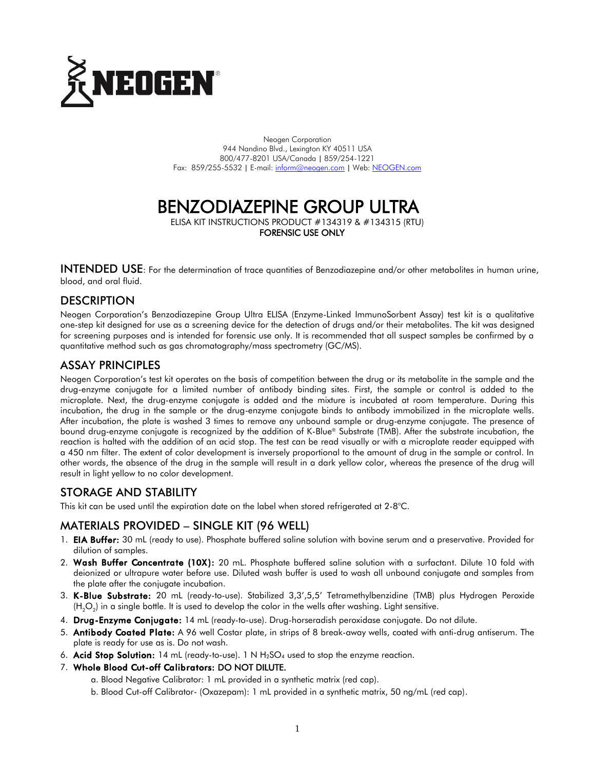

Neogen Corporation 944 Nandino Blvd., Lexington KY 40511 USA 800/477-8201 USA/Canada | 859/254-1221 Fax: 859/255-5532 | E-mail[: inform@neogen.com](mailto:inform@neogen.com) | Web[: NEOGEN.com](www.NEOGEN.com)

# BENZODIAZEPINE GROUP ULTRA

ELISA KIT INSTRUCTIONS PRODUCT #134319 & #134315 (RTU) FORENSIC USE ONLY

INTENDED USE: For the determination of trace quantities of Benzodiazepine and/or other metabolites in human urine, blood, and oral fluid.

## **DESCRIPTION**

Neogen Corporation's Benzodiazepine Group Ultra ELISA (Enzyme-Linked ImmunoSorbent Assay) test kit is a qualitative one-step kit designed for use as a screening device for the detection of drugs and/or their metabolites. The kit was designed for screening purposes and is intended for forensic use only. It is recommended that all suspect samples be confirmed by a quantitative method such as gas chromatography/mass spectrometry (GC/MS).

## ASSAY PRINCIPLES

Neogen Corporation's test kit operates on the basis of competition between the drug or its metabolite in the sample and the drug-enzyme conjugate for a limited number of antibody binding sites. First, the sample or control is added to the microplate. Next, the drug-enzyme conjugate is added and the mixture is incubated at room temperature. During this incubation, the drug in the sample or the drug-enzyme conjugate binds to antibody immobilized in the microplate wells. After incubation, the plate is washed 3 times to remove any unbound sample or drug-enzyme conjugate. The presence of bound drug-enzyme conjugate is recognized by the addition of K-Blue® Substrate (TMB). After the substrate incubation, the reaction is halted with the addition of an acid stop. The test can be read visually or with a microplate reader equipped with a 450 nm filter. The extent of color development is inversely proportional to the amount of drug in the sample or control. In other words, the absence of the drug in the sample will result in a dark yellow color, whereas the presence of the drug will result in light yellow to no color development.

# STORAGE AND STABILITY

This kit can be used until the expiration date on the label when stored refrigerated at 2-8°C.

## MATERIALS PROVIDED – SINGLE KIT (96 WELL)

- 1. **EIA Buffer:** 30 mL (ready to use). Phosphate buffered saline solution with bovine serum and a preservative. Provided for dilution of samples.
- 2. Wash Buffer Concentrate (10X): 20 mL. Phosphate buffered saline solution with a surfactant. Dilute 10 fold with deionized or ultrapure water before use. Diluted wash buffer is used to wash all unbound conjugate and samples from the plate after the conjugate incubation.
- 3. K-Blue Substrate: 20 mL (ready-to-use). Stabilized 3,3',5,5' Tetramethylbenzidine (TMB) plus Hydrogen Peroxide (H<sub>2</sub>O<sub>2</sub>) in a single bottle. It is used to develop the color in the wells after washing. Light sensitive.
- 4. Drug-Enzyme Conjugate: 14 mL (ready-to-use). Drug-horseradish peroxidase conjugate. Do not dilute.
- 5. Antibody Coated Plate: A 96 well Costar plate, in strips of 8 break-away wells, coated with anti-drug antiserum. The plate is ready for use as is. Do not wash.
- 6. Acid Stop Solution: 14 mL (ready-to-use). 1 N  $H_2SO_4$  used to stop the enzyme reaction.
- 7. Whole Blood Cut-off Calibrators: DO NOT DILUTE.
	- a. Blood Negative Calibrator: 1 mL provided in a synthetic matrix (red cap).
	- b. Blood Cut-off Calibrator- (Oxazepam): 1 mL provided in a synthetic matrix, 50 ng/mL (red cap).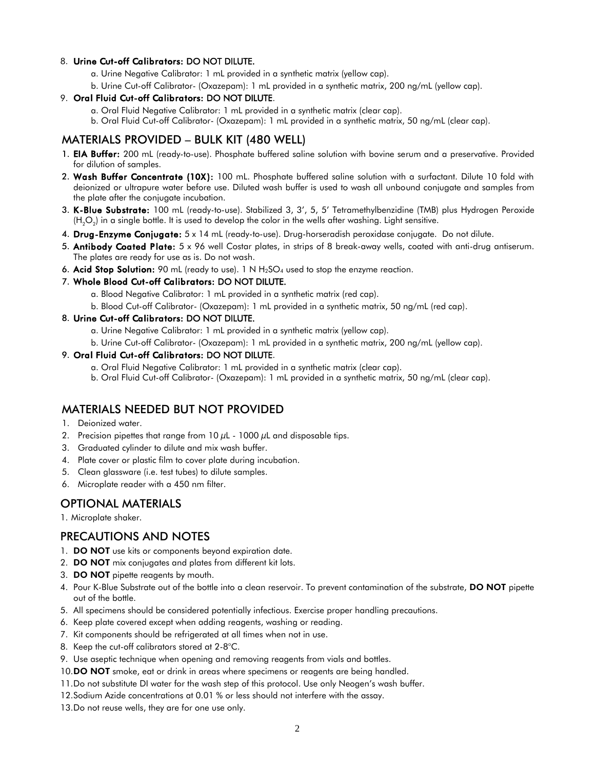#### 8. Urine Cut-off Calibrators: DO NOT DILUTE.

- a. Urine Negative Calibrator: 1 mL provided in a synthetic matrix (yellow cap).
- b. Urine Cut-off Calibrator- (Oxazepam): 1 mL provided in a synthetic matrix, 200 ng/mL (yellow cap).

#### 9. Oral Fluid Cut-off Calibrators: DO NOT DILUTE.

- a. Oral Fluid Negative Calibrator: 1 mL provided in a synthetic matrix (clear cap).
- b. Oral Fluid Cut-off Calibrator- (Oxazepam): 1 mL provided in a synthetic matrix, 50 ng/mL (clear cap).

## MATERIALS PROVIDED – BULK KIT (480 WELL)

- 1. EIA Buffer: 200 mL (ready-to-use). Phosphate buffered saline solution with bovine serum and a preservative. Provided for dilution of samples.
- 2. Wash Buffer Concentrate (10X): 100 mL. Phosphate buffered saline solution with a surfactant. Dilute 10 fold with deionized or ultrapure water before use. Diluted wash buffer is used to wash all unbound conjugate and samples from the plate after the conjugate incubation.
- 3. K-Blue Substrate: 100 mL (ready-to-use). Stabilized 3, 3', 5, 5' Tetramethylbenzidine (TMB) plus Hydrogen Peroxide (H $_{2}$ O $_{2}$ ) in a single bottle. It is used to develop the color in the wells after washing. Light sensitive.
- 4. Drug-Enzyme Conjugate: 5 x 14 mL (ready-to-use). Drug-horseradish peroxidase conjugate. Do not dilute.
- 5. Antibody Coated Plate: 5 x 96 well Costar plates, in strips of 8 break-away wells, coated with anti-drug antiserum. The plates are ready for use as is. Do not wash.
- 6. Acid Stop Solution: 90 mL (ready to use). 1 N  $H_2SO_4$  used to stop the enzyme reaction.

#### 7. Whole Blood Cut-off Calibrators: DO NOT DILUTE.

- a. Blood Negative Calibrator: 1 mL provided in a synthetic matrix (red cap).
- b. Blood Cut-off Calibrator- (Oxazepam): 1 mL provided in a synthetic matrix, 50 ng/mL (red cap).

#### 8. Urine Cut-off Calibrators: DO NOT DILUTE.

- a. Urine Negative Calibrator: 1 mL provided in a synthetic matrix (yellow cap).
- b. Urine Cut-off Calibrator- (Oxazepam): 1 mL provided in a synthetic matrix, 200 ng/mL (yellow cap).

#### 9. Oral Fluid Cut-off Calibrators: DO NOT DILUTE.

- a. Oral Fluid Negative Calibrator: 1 mL provided in a synthetic matrix (clear cap).
- b. Oral Fluid Cut-off Calibrator- (Oxazepam): 1 mL provided in a synthetic matrix, 50 ng/mL (clear cap).

## MATERIALS NEEDED BUT NOT PROVIDED

- 1. Deionized water.
- 2. Precision pipettes that range from 10  $\mu$ L 1000  $\mu$ L and disposable tips.
- 3. Graduated cylinder to dilute and mix wash buffer.
- 4. Plate cover or plastic film to cover plate during incubation.
- 5. Clean glassware (i.e. test tubes) to dilute samples.
- 6. Microplate reader with a 450 nm filter.

# OPTIONAL MATERIALS

1. Microplate shaker.

## PRECAUTIONS AND NOTES

- 1. DO NOT use kits or components beyond expiration date.
- 2. **DO NOT** mix conjugates and plates from different kit lots.
- 3. DO NOT pipette reagents by mouth.
- 4. Pour K-Blue Substrate out of the bottle into a clean reservoir. To prevent contamination of the substrate, DO NOT pipette out of the bottle.
- 5. All specimens should be considered potentially infectious. Exercise proper handling precautions.
- 6. Keep plate covered except when adding reagents, washing or reading.
- 7. Kit components should be refrigerated at all times when not in use.
- 8. Keep the cut-off calibrators stored at 2-8°C.
- 9. Use aseptic technique when opening and removing reagents from vials and bottles.
- 10.DO NOT smoke, eat or drink in areas where specimens or reagents are being handled.
- 11.Do not substitute DI water for the wash step of this protocol. Use only Neogen's wash buffer.
- 12.Sodium Azide concentrations at 0.01 % or less should not interfere with the assay.
- 13.Do not reuse wells, they are for one use only.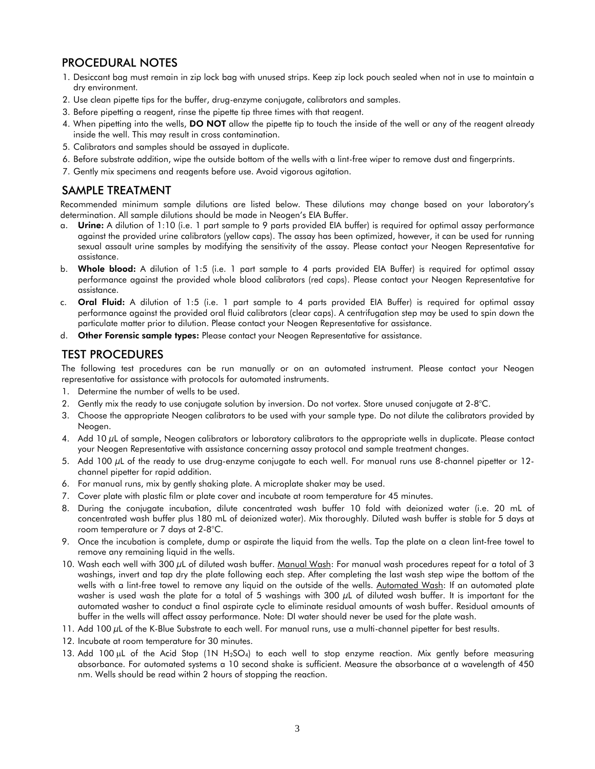# PROCEDURAL NOTES

- 1. Desiccant bag must remain in zip lock bag with unused strips. Keep zip lock pouch sealed when not in use to maintain a dry environment.
- 2. Use clean pipette tips for the buffer, drug-enzyme conjugate, calibrators and samples.
- 3. Before pipetting a reagent, rinse the pipette tip three times with that reagent.
- 4. When pipetting into the wells, DO NOT allow the pipette tip to touch the inside of the well or any of the reagent already inside the well. This may result in cross contamination.
- 5. Calibrators and samples should be assayed in duplicate.
- 6. Before substrate addition, wipe the outside bottom of the wells with a lint-free wiper to remove dust and fingerprints.
- 7. Gently mix specimens and reagents before use. Avoid vigorous agitation.

## SAMPLE TREATMENT

Recommended minimum sample dilutions are listed below. These dilutions may change based on your laboratory's determination. All sample dilutions should be made in Neogen's EIA Buffer.

- a. Urine: A dilution of 1:10 (i.e. 1 part sample to 9 parts provided EIA buffer) is required for optimal assay performance against the provided urine calibrators (yellow caps). The assay has been optimized, however, it can be used for running sexual assault urine samples by modifying the sensitivity of the assay. Please contact your Neogen Representative for assistance.
- b. Whole blood: A dilution of 1:5 (i.e. 1 part sample to 4 parts provided EIA Buffer) is required for optimal assay performance against the provided whole blood calibrators (red caps). Please contact your Neogen Representative for assistance.
- c. Oral Fluid: A dilution of 1:5 (i.e. 1 part sample to 4 parts provided EIA Buffer) is required for optimal assay performance against the provided oral fluid calibrators (clear caps). A centrifugation step may be used to spin down the particulate matter prior to dilution. Please contact your Neogen Representative for assistance.
- d. Other Forensic sample types: Please contact your Neogen Representative for assistance.

# TEST PROCEDURES

The following test procedures can be run manually or on an automated instrument. Please contact your Neogen representative for assistance with protocols for automated instruments.

- 1. Determine the number of wells to be used.
- 2. Gently mix the ready to use conjugate solution by inversion. Do not vortex. Store unused conjugate at 2-8°C.
- 3. Choose the appropriate Neogen calibrators to be used with your sample type. Do not dilute the calibrators provided by Neogen.
- 4. Add 10 µL of sample, Neogen calibrators or laboratory calibrators to the appropriate wells in duplicate. Please contact your Neogen Representative with assistance concerning assay protocol and sample treatment changes.
- 5. Add 100 µL of the ready to use drug-enzyme conjugate to each well. For manual runs use 8-channel pipetter or 12channel pipetter for rapid addition.
- 6. For manual runs, mix by gently shaking plate. A microplate shaker may be used.
- 7. Cover plate with plastic film or plate cover and incubate at room temperature for 45 minutes.
- 8. During the conjugate incubation, dilute concentrated wash buffer 10 fold with deionized water (i.e. 20 mL of concentrated wash buffer plus 180 mL of deionized water). Mix thoroughly. Diluted wash buffer is stable for 5 days at room temperature or 7 days at 2-8°C.
- 9. Once the incubation is complete, dump or aspirate the liquid from the wells. Tap the plate on a clean lint-free towel to remove any remaining liquid in the wells.
- 10. Wash each well with 300 µL of diluted wash buffer. Manual Wash: For manual wash procedures repeat for a total of 3 washings, invert and tap dry the plate following each step. After completing the last wash step wipe the bottom of the wells with a lint-free towel to remove any liquid on the outside of the wells. Automated Wash: If an automated plate washer is used wash the plate for a total of 5 washings with 300 µL of diluted wash buffer. It is important for the automated washer to conduct a final aspirate cycle to eliminate residual amounts of wash buffer. Residual amounts of buffer in the wells will affect assay performance. Note: DI water should never be used for the plate wash.
- 11. Add 100  $\mu$ L of the K-Blue Substrate to each well. For manual runs, use a multi-channel pipetter for best results.
- 12. Incubate at room temperature for 30 minutes.
- 13. Add 100 µL of the Acid Stop (1N H<sub>2</sub>SO<sub>4</sub>) to each well to stop enzyme reaction. Mix gently before measuring absorbance. For automated systems a 10 second shake is sufficient. Measure the absorbance at a wavelength of 450 nm. Wells should be read within 2 hours of stopping the reaction.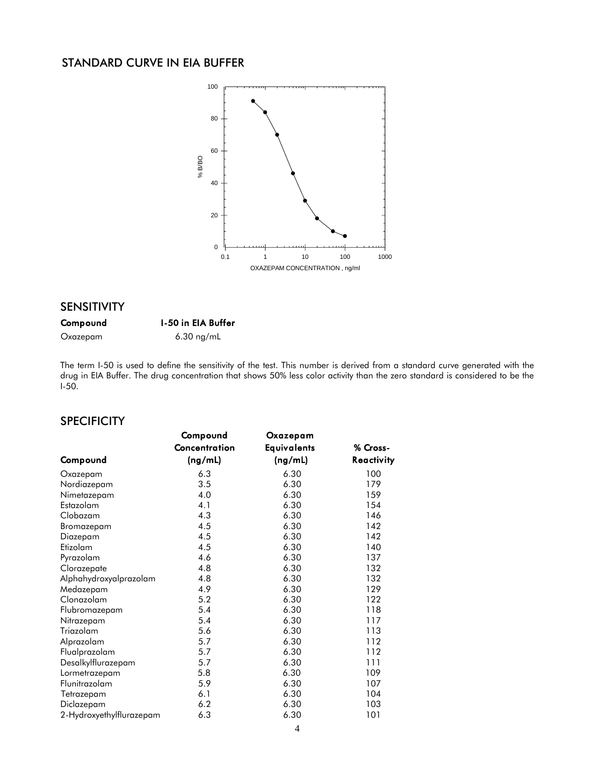# STANDARD CURVE IN EIA BUFFER



#### SENSITIVITY

## Compound I-50 in EIA Buffer

Oxazepam 6.30 ng/mL

The term I-50 is used to define the sensitivity of the test. This number is derived from a standard curve generated with the drug in EIA Buffer. The drug concentration that shows 50% less color activity than the zero standard is considered to be the I-50.

# **SPECIFICITY**

|                          | Compound      | Oxazepam    |            |
|--------------------------|---------------|-------------|------------|
|                          | Concentration | Equivalents | % Cross-   |
| Compound                 | (ng/mL)       | (ng/mL)     | Reactivity |
| Oxazepam                 | 6.3           | 6.30        | 100        |
| Nordiazepam              | 3.5           | 6.30        | 179        |
| Nimetazepam              | 4.0           | 6.30        | 159        |
| Estazolam                | 4.1           | 6.30        | 154        |
| Clobazam                 | 4.3           | 6.30        | 146        |
| Bromazepam               | 4.5           | 6.30        | 142        |
| Diazepam                 | 4.5           | 6.30        | 142        |
| Etizolam                 | 4.5           | 6.30        | 140        |
| Pyrazolam                | 4.6           | 6.30        | 137        |
| Clorazepate              | 4.8           | 6.30        | 132        |
| Alphahydroxyalprazolam   | 4.8           | 6.30        | 132        |
| Medazepam                | 4.9           | 6.30        | 129        |
| Clonazolam               | 5.2           | 6.30        | 122        |
| Flubromazepam            | 5.4           | 6.30        | 118        |
| Nitrazepam               | 5.4           | 6.30        | 117        |
| Triazolam                | 5.6           | 6.30        | 113        |
| Alprazolam               | 5.7           | 6.30        | 112        |
| Flualprazolam            | 5.7           | 6.30        | 112        |
| Desalkylflurazepam       | 5.7           | 6.30        | 111        |
| Lormetrazepam            | 5.8           | 6.30        | 109        |
| Flunitrazolam            | 5.9           | 6.30        | 107        |
| Tetrazepam               | 6.1           | 6.30        | 104        |
| Diclazepam               | 6.2           | 6.30        | 103        |
| 2-Hydroxyethylflurazepam | 6.3           | 6.30        | 101        |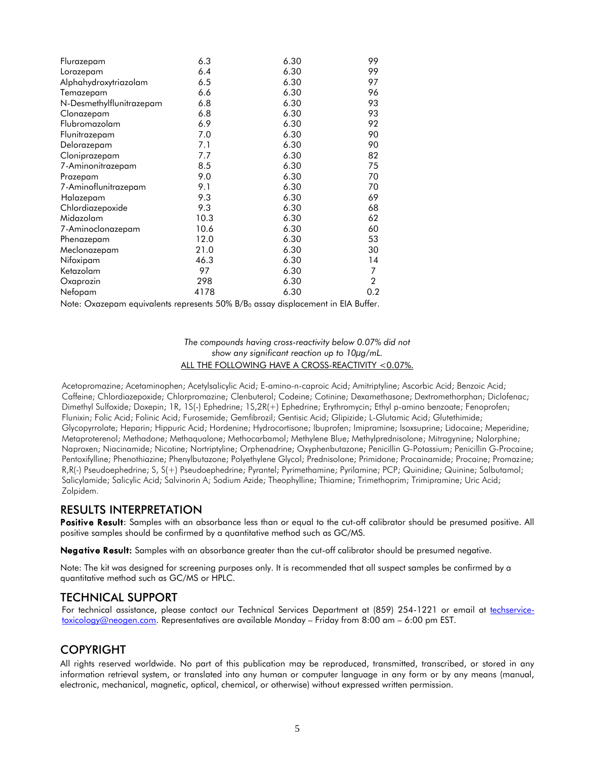| Flurazepam               | 6.3  | 6.30 | 99             |
|--------------------------|------|------|----------------|
| Lorazepam                | 6.4  | 6.30 | 99             |
| Alphahydroxytriazolam    | 6.5  | 6.30 | 97             |
| Temazepam                | 6.6  | 6.30 | 96             |
| N-Desmethylflunitrazepam | 6.8  | 6.30 | 93             |
| Clonazepam               | 6.8  | 6.30 | 93             |
| Flubromazolam            | 6.9  | 6.30 | 92             |
| Flunitrazepam            | 7.0  | 6.30 | 90             |
| Delorazepam              | 7.1  | 6.30 | 90             |
| Cloniprazepam            | 7.7  | 6.30 | 82             |
| 7-Aminonitrazepam        | 8.5  | 6.30 | 75             |
| Prazepam                 | 9.0  | 6.30 | 70             |
| 7-Aminoflunitrazepam     | 9.1  | 6.30 | 70             |
| Halazepam                | 9.3  | 6.30 | 69             |
| Chlordiazepoxide         | 9.3  | 6.30 | 68             |
| Midazolam                | 10.3 | 6.30 | 62             |
| 7-Aminoclonazepam        | 10.6 | 6.30 | 60             |
| Phenazepam               | 12.0 | 6.30 | 53             |
| Meclonazepam             | 21.0 | 6.30 | 30             |
| Nifoxipam                | 46.3 | 6.30 | 14             |
| Ketazolam                | 97   | 6.30 | 7              |
| Oxaprozin                | 298  | 6.30 | $\overline{2}$ |
| Nefopam                  | 4178 | 6.30 | 0.2            |
|                          |      |      |                |

Note: Oxazepam equivalents represents 50% B/B<sub>0</sub> assay displacement in EIA Buffer.

#### *The compounds having cross-reactivity below 0.07% did not show any significant reaction up to 10µg/mL.* ALL THE FOLLOWING HAVE A CROSS-REACTIVITY <0.07%.

Acetopromazine; Acetaminophen; Acetylsalicylic Acid; E-amino-n-caproic Acid; Amitriptyline; Ascorbic Acid; Benzoic Acid; Caffeine; Chlordiazepoxide; Chlorpromazine; Clenbuterol; Codeine; Cotinine; Dexamethasone; Dextromethorphan; Diclofenac; Dimethyl Sulfoxide; Doxepin; 1R, 1S(-) Ephedrine; 1S,2R(+) Ephedrine; Erythromycin; Ethyl p-amino benzoate; Fenoprofen; Flunixin; Folic Acid; Folinic Acid; Furosemide; Gemfibrozil; Gentisic Acid; Glipizide; L-Glutamic Acid; Glutethimide; Glycopyrrolate; Heparin; Hippuric Acid; Hordenine; Hydrocortisone; Ibuprofen; Imipramine; Isoxsuprine; Lidocaine; Meperidine; Metaproterenol; Methadone; Methaqualone; Methocarbamol; Methylene Blue; Methylprednisolone; Mitragynine; Nalorphine; Naproxen; Niacinamide; Nicotine; Nortriptyline; Orphenadrine; Oxyphenbutazone; Penicillin G-Potassium; Penicillin G-Procaine; Pentoxifylline; Phenothiazine; Phenylbutazone; Polyethylene Glycol; Prednisolone; Primidone; Procainamide; Procaine; Promazine; R,R(-) Pseudoephedrine; S, S(+) Pseudoephedrine; Pyrantel; Pyrimethamine; Pyrilamine; PCP; Quinidine; Quinine; Salbutamol; Salicylamide; Salicylic Acid; Salvinorin A; Sodium Azide; Theophylline; Thiamine; Trimethoprim; Trimipramine; Uric Acid; Zolpidem.

## RESULTS INTERPRETATION

Positive Result: Samples with an absorbance less than or equal to the cut-off calibrator should be presumed positive. All positive samples should be confirmed by a quantitative method such as GC/MS.

Negative Result: Samples with an absorbance greater than the cut-off calibrator should be presumed negative.

Note: The kit was designed for screening purposes only. It is recommended that all suspect samples be confirmed by a quantitative method such as GC/MS or HPLC.

## TECHNICAL SUPPORT

For technical assistance, please contact our Technical Services Department at (859) 254-1221 or email at [techservice](mailto:techservice-toxicology@neogen.com)[toxicology@neogen.com.](mailto:techservice-toxicology@neogen.com) Representatives are available Monday – Friday from 8:00 am – 6:00 pm EST.

# COPYRIGHT

All rights reserved worldwide. No part of this publication may be reproduced, transmitted, transcribed, or stored in any information retrieval system, or translated into any human or computer language in any form or by any means (manual, electronic, mechanical, magnetic, optical, chemical, or otherwise) without expressed written permission.